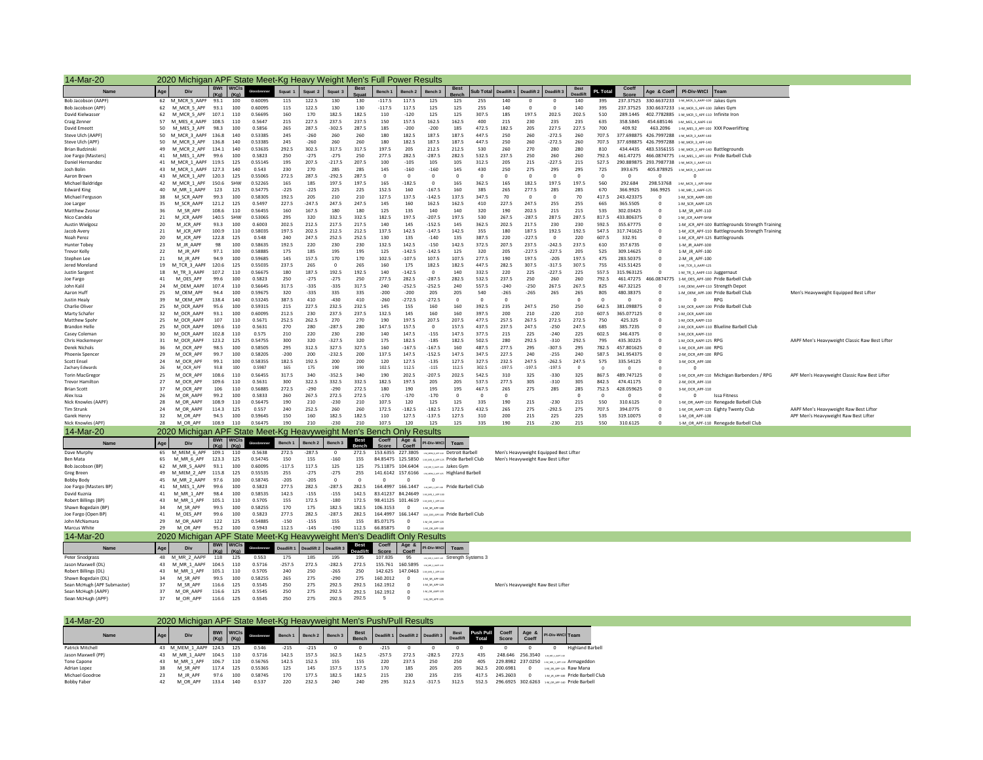| 14-Mar-20                                   |          |                                        |                              |                         | 2020 Michigan APF State Meet-Kg Heavy Weight Men's Full Power Results   |                    |                    |                    |                       |                                                     |                    |                                                           |                                                       |                       |                   |                                                |                                        |                        |                 |                            |                              |                                                                                       |
|---------------------------------------------|----------|----------------------------------------|------------------------------|-------------------------|-------------------------------------------------------------------------|--------------------|--------------------|--------------------|-----------------------|-----------------------------------------------------|--------------------|-----------------------------------------------------------|-------------------------------------------------------|-----------------------|-------------------|------------------------------------------------|----------------------------------------|------------------------|-----------------|----------------------------|------------------------------|---------------------------------------------------------------------------------------|
| <b>Name</b>                                 | Age      | Div                                    |                              | <b>BWt</b> WtCls        |                                                                         | Squat <sub>1</sub> | Squat 2            | Squat <sub>3</sub> |                       | Bench 1                                             | Bench <sub>2</sub> | Bench <sub>3</sub>                                        | <b>Best</b>                                           |                       |                   | Sub Total Deadlift 1   Deadlift 2   Deadlift 3 |                                        | <b>Best</b><br>Deadlif | <b>PL Total</b> | Coeff                      |                              | Age & Coeff PI-Div-WtCl Team                                                          |
| Bob Jacobson (AAPF)                         |          | 62 M MCR 5 AAPF                        | (Ka)<br>93.1                 | (Ka)<br>100             | 0.60095                                                                 | 115                | 122.5              | 130                | 130                   | $-117.5$                                            | 117.5              | 125                                                       | 125                                                   | 255                   | 140               |                                                |                                        | 140                    | 395             |                            |                              | 237.37525 330.6637233 1-M_MCR_5_AAPF-100 Jakes Gym                                    |
| Bob Jacobson (APF)                          | 62       | M MCR 5 APF                            | 93.1                         | 100                     | 0.60095                                                                 | 115                | 122.5              | 130                | 130                   | $-117.5$                                            | 117.5              | 125                                                       | 125                                                   | 255                   | 140               | $\Omega$                                       | $\Omega$                               | 140                    | 395             |                            |                              | 237.37525 330.6637233 1-M_MCR_5_APF-100 Jakes Gym                                     |
| David Kielwasser                            | 62       | M MCR 5 APF 107.1                      |                              | 110                     | 0.56695                                                                 | 160                | 170                | 182.5              | 182.5                 | 110                                                 | $-120$             | 125                                                       | 125                                                   | 307.5                 | 185               | 197.5                                          | 202.5                                  | 202.5                  | 510             |                            |                              | 289.1445 402.7782885 1-M MCR 5 APF-110 Infinite Iron                                  |
| Craig Zenner                                | 57       | M MES 4 AAPF 108.5                     |                              | 110                     | 0.5647                                                                  | 215                | 227.5              | 237.5              | 237.5                 | 150                                                 | 157.5              | 162.5                                                     | 162.5                                                 | 400                   | 215               | 230                                            | 235                                    | 235                    | 635             | 358.5845                   |                              | 454.685146 1-M_MES_4_AAPF-110                                                         |
| David Emeott<br>Steve Ulch (AAPF)           | 50<br>50 | M MES 3 APF 98.3<br>M MCR 3 AAPF 136.8 |                              | 100<br>140              | 0.5856<br>0.53385                                                       | 265<br>245         | 287.5<br>$-260$    | $-302.5$<br>260    | 287.5<br>260          | 185<br>180                                          | $-200$<br>182.5    | $-200$<br>187.5                                           | 185<br>187.5                                          | 472.5<br>447.5        | 182.5<br>250      | 205<br>260                                     | 227.5<br>$-272.5$                      | 227.5<br>260           | 700<br>707.5    | 409.92                     |                              | 463.2096 1-M MES 3 APF-100 XXX Powerlifting                                           |
| Steve Ulch (APF)                            | 50       | M MCR 3 APF 136.8                      |                              | 140                     | 0.53385                                                                 | 245                | $-260$             | 260                | 260                   | 180                                                 | 182.5              | 187.5                                                     | 187.5                                                 | 447.5                 | 250               | 260                                            | $-272.5$                               | 260                    | 707.5           |                            |                              | 377.698875 426.7997288 1-M_MCR_3_AAPF-140<br>377.698875 426.7997288 1-M MCR 3 APF-140 |
| Brian Budzinski                             | 49       | M_MCR_2_APF 134.1                      |                              | 140                     | 0.53635                                                                 | 292.5              | 302.5              | 317.5              | 317.5                 | 197.5                                               | 205                | 212.5                                                     | 212.5                                                 | 530                   | 260               | 270                                            | 280                                    | 280                    | 810             |                            |                              | 434.4435 483.5356155 1-M_MCR_2_APF-140 Battlegrounds                                  |
| Joe Fargo (Masters)                         | 41       | M_MES_1_APF 99.6                       |                              | 100                     | 0.5823                                                                  | 250                | $-275$             | $-275$             | 250                   | 277.5                                               | 282.5              | $-287.5$                                                  | 282.5                                                 | 532.5                 | 237.5             | 250                                            | 260                                    | 260                    | 792.5           |                            |                              | 461.47275 466.0874775 1-M_MES_1_APF-100 Pride Barbell Club                            |
| Daniel Hernandez                            | 41       | M MCR 1 AAPF 119.5                     |                              | 125                     | 0.55145                                                                 | 195                | 207.5              | $-217.5$           | 207.5                 | 100                                                 | $-105$             | 105                                                       | 105                                                   | 312.5                 | 205               | 215                                            | $-227.5$                               | 215                    | 527.5           |                            |                              | 290.889875 293.7987738 1-M_MCR_1_AAPF-125                                             |
| <b>Josh Bolin</b>                           | 43       | M_MCR_1_AAPF 127.3                     |                              | 140                     | 0.543                                                                   | 230                | 270                | 285                | 285                   | 145                                                 | $-160$             | $-160$                                                    | 145                                                   | 430                   | 250               | 275                                            | 295                                    | 295                    | 725             | 393.675                    | 405.878925                   | 1-M MCR 1 AAPF-140                                                                    |
| Aaron Brown                                 | 43       | M MCR 1 APF 120.3                      |                              | 125                     | 0.55065                                                                 | 272.5              | 287.5              | $-292.5$           | 287.5                 | $\overline{0}$                                      | $^{\circ}$         | $\overline{0}$                                            | $\circ$                                               | $\overline{0}$        | $^{\circ}$        | $\overline{0}$                                 | $\circ$                                | $\overline{0}$         | $\Omega$        | $\overline{\mathbf{0}}$    | $\Omega$                     | $\Omega$                                                                              |
| Michael Baldridge<br><b>Edward King</b>     | 42<br>40 | M MCR 1 APF<br>M MR 1 AAPF             | 150.6                        | SHW                     | 0.52265<br>0.54775                                                      | 165<br>$-225$      | 185<br>$-225$      | 197.5<br>225       | 197.5<br>225          | 165<br>152.5                                        | $-182.5$<br>160    | $\overline{0}$<br>$-167.5$                                | 165<br>160                                            | 362.5<br>385          | 165<br>265        | 182.5<br>277.5                                 | 197.5<br>285                           | 197.5<br>285           | 560<br>670      | 292.684<br>366.9925        | 298.53768<br>366.9925        | 1-M_MCR_1_APF-SHW<br>1-M MR 1 AAPF-125                                                |
| Michael Fereuson                            | 38       | M SCR AAPF                             | 123<br>99.3                  | 125<br>100              | 0.58305                                                                 | 192.5              | 205                | 210                | 210                   | 127.5                                               | 137.5              | $-142.5$                                                  | 137.5                                                 | 347.5                 | 70                | $\overline{0}$                                 | $\circ$                                | 70                     | 417.5           | 243.423375                 | $\circ$                      | 1-M SCR AAPF-100                                                                      |
| Joe Larger                                  | 35       | M SCR AAPF                             | 121.2                        | 125                     | 0.5497                                                                  | 227.5              | $-247.5$           | 247.5              | 247.5                 | 145                                                 | 160                | 162.5                                                     | 162.5                                                 | 410                   | 227.5             | 247.5                                          | 255                                    | 255                    | 665             | 365.5505                   | $\circ$                      | 1-M SCR AAPF-125                                                                      |
| Matthew Zvona                               | 36       | M SR APF                               | 108.6                        | 110                     | 0.56455                                                                 | 160                | 167.5              | 180                | 180                   | 125                                                 | 135                | 140                                                       | 140                                                   | 320                   | 190               | 202.5                                          | 215                                    | 215                    | 535             | 302.03425                  | $\Omega$                     | 1-M SR APF-110                                                                        |
| Nico Candela                                | 21       | M JCR AAPF                             | 140.5                        | <b>SHW</b>              | 0.53065                                                                 | 295                | 320                | 332.5              | 332.5                 | 182.5                                               | 197.5              | $-207.5$                                                  | 197.5                                                 | 530                   | 267.5             | $-287.5$                                       | 287.5                                  | 287.5                  | 817.5           | 433.806375                 | $\Omega$                     | 1-M JCR AAPF-SHW                                                                      |
| <b>Austin Wielgos:</b>                      | 20       | M ICR APF                              | 93.3                         | 100                     | 0.6003                                                                  | 202.5              | 212.5              | 217.5              | 217.5                 | 140                                                 | 145                | $-152.5$                                                  | 145                                                   | 362.5                 | 202.5             | 217.5                                          | 230                                    | 230                    | 592.5           | 355.67775                  | $\sqrt{2}$                   | 1-M JCR APF-100 Battlegrounds Strength Training                                       |
| Jacob Avery                                 | 21       | M JCR APF                              | 100.9                        | 110                     | 0.58035                                                                 | 197.5              | 202.5              | 212.5              | 212.5                 | 137.5                                               | 142.5              | $-147.5$                                                  | 142.5                                                 | 355                   | 180               | 187.5                                          | 192.5                                  | 192.5                  | 547.5           | 317.741625                 | $\Omega$                     | 1-M JCR APF-110 Battlegrounds Strength Training                                       |
| Noah Perez                                  | 20<br>23 | M JCR APF<br>M JR AAPF                 | 122.8<br>98                  | 125<br>100              | 0.548<br>0.58635                                                        | 240<br>192.5       | 247.5<br>220       | 252.5<br>230       | 252.5<br>230          | 130<br>132.5                                        | 135<br>142.5       | $-140$<br>$-150$                                          | 135<br>142.5                                          | 387.5<br>372.5        | 220<br>207.5      | $-227.5$<br>237.5                              | $\circ$<br>$-242.5$                    | 220<br>237.5           | 607.5<br>610    | 332.91<br>357.6735         |                              | 1-M JCR APF-125 Battlegrounds<br>1-M JR AAPF-100                                      |
| <b>Hunter Tobey</b><br><b>Trevor Kelly</b>  | 22       | M JR APF                               | 97.1                         | 100                     | 0.58885                                                                 | 175                | 185                | 195                | 195                   | 125                                                 | $-142.5$           | $-142.5$                                                  | 125                                                   | 320                   | 205               | $-227.5$                                       | $-227.5$                               | 205                    | 525             | 309.14625                  | $\Omega$                     | 1-M JR APF-100                                                                        |
| Stephen Lee                                 | 21       | M JR APF                               | 94.9                         | 100                     | 0.59685                                                                 | 145                | 157.5              | 170                | 170                   | 102.5                                               | $-107.5$           | 107.5                                                     | 107.5                                                 | 277.5                 | 190               | 197.5                                          | $-205$                                 | 197.5                  | 475             | 283.50375                  | $\Omega$                     | 2-M JR APF-100                                                                        |
| lered Moreland                              | 19       | M_TCR_3_AAPF                           | 120.6                        | 125                     | 0.55035                                                                 | 237.5              | 265                | $\Omega$           | 265                   | 160                                                 | 175                | 182.5                                                     | 182.5                                                 | 447.5                 | 282.5             | 307.5                                          | $-317.5$                               | 307.5                  | 755             | 415.51425                  | $\Omega$                     | 1-M_TCR_3_AAPF-125                                                                    |
| <b>Justin Sargent</b>                       | 18       | M TR 3 AAPF                            | 107.2                        | 110                     | 0.56675                                                                 | 180                | 187.5              | 192.5              | 192.5                 | 140                                                 | $-142.5$           | $\Omega$                                                  | 140                                                   | 332.5                 | 220               | 225                                            | $-227.5$                               | 225                    | 557.5           | 315.963125                 | $\Omega$                     | 1-M TR 3 AAPF-110 Juggernaut                                                          |
| Ine Fargo                                   | 41       | M OFS APF                              | 99.6                         | 100                     | 0.5823                                                                  | 250                | $-275$             | $-275$             | 250                   | 277.5                                               | 282.5              | $-287.5$                                                  | 282.5                                                 | 532.5                 | 237.5             | 250                                            | 260                                    | 260                    | 792.5           | 461.47275                  | 466.0874775                  | 1-M OES APF-100 Pride Barbell Club                                                    |
| John Kalil<br>Aaron Huff                    | 24       | M_OEM_AAPF                             | 107.4                        | 110                     | 0.56645                                                                 | 317.5              | $-335$             | $-335$             | 317.5                 | 240                                                 | $-252.5$           | $-252.5$                                                  | 240                                                   | 557.5                 | $-240$            | $-250$                                         | 267.5                                  | 267.5                  | 825             | 467.32125                  | $\mathbf{0}$                 | 1-M OEM AAPF-110 Strength Depot                                                       |
|                                             | 25<br>39 | M OEM APF<br>M OEM APF                 | 94.4<br>138.4                | 100<br>140              | 0.59675<br>0.53245                                                      | 320<br>387.5       | $-335$<br>410      | 335<br>$-430$      | 335<br>410            | $-200$<br>$-260$                                    | $-200$<br>$-272.5$ | 205<br>$-272.5$                                           | 205<br>$^{\circ}$                                     | 540<br>$\overline{0}$ | $-265$<br>$\circ$ | $-265$                                         | 265                                    | 265<br>$\overline{0}$  | 805<br>$\Omega$ | 480.38375<br>$\circ$       | $\mathbf{0}$<br>$\circ$      | 1-M_OEM_APF-100 Pride Barbell Club<br>$^{\circ}$<br><b>RPG</b>                        |
| Justin Healy<br>Charlie Oliver              | 25       | M OCR AAPF                             | 95.6                         | 100                     | 0.59315                                                                 | 215                | 227.5              | 232.5              | 232.5                 | 145                                                 | 155                | 160                                                       | 160                                                   | 392.5                 | 235               | 247.5                                          | 250                                    | 250                    | 642.5           | 381.098875                 | $\Omega$                     | 1-M OCR AAPF-100 Pride Barbell Club                                                   |
| Marty Schafer                               | 32       | M OCR AAPF                             | 93.1                         | 100                     | 0.60095                                                                 | 212.5              | 230                | 237.5              | 237.5                 | 132.5                                               | 145                | 160                                                       | 160                                                   | 397.5                 | 200               | 210                                            | $-220$                                 | 210                    | 607.5           | 365.077125                 | $\circ$                      | 2-M OCR AAPF-100                                                                      |
| Matthew Spohr                               | 25       | M OCR AAPF                             | 107                          | 110                     | 0.5671                                                                  | 252.5              | 262.5              | 270                | 270                   | 190                                                 | 197.5              | 207.5                                                     | 207.5                                                 | 477.5                 | 257.5             | 267.5                                          | 272.5                                  | 272.5                  | 750             | 425.325                    | $\Omega$                     | 1-M OCR AAPF-110                                                                      |
| <b>Brandon Helle</b>                        | 25       | M OCR AAPF                             | 109.6                        | 110                     | 0.5631                                                                  | 270                | 280                | $-287.5$           | 280                   | 147.5                                               | 157.5              | $\Omega$                                                  | 157.5                                                 | 437.5                 | 237.5             | 247.5                                          | $-250$                                 | 247.5                  | 685             | 385.7235                   | $\Omega$                     | 2-M OCR AAPF-110 Blueline Barbell Club                                                |
| Casey Coleman                               | 30       | M OCR AAPF                             | 102.8                        | 110                     | 0.575                                                                   | 210                | 220                | 230                | 230                   | 140                                                 | 147.5              | $-155$                                                    | 147.5                                                 | 377.5                 | 215               | 225                                            | $-240$                                 | 225                    | 602.5           | 346.4375                   | $\circ$                      | 3-M OCR AAPF-110                                                                      |
| Chris Hockemever<br>Derek Nichols           | 31<br>36 | M_OCR_AAPF<br>M OCR APF                | 123.2<br>98.5                | 125<br>100              | 0.54755<br>0.58505                                                      | 300<br>295         | 320<br>312.5       | $-327.5$<br>327.5  | 320<br>327.5          | 175<br>160                                          | 182.5<br>$-167.5$  | $-185$<br>$-167.5$                                        | 182.5<br>160                                          | 502.5<br>487.5        | 280<br>277.5      | 292.5<br>295                                   | $-310$<br>$-307.5$                     | 292.5<br>295           | 795<br>782.5    | 435.30225<br>457.801625    | $\mathbf{0}$<br>$\mathbf{0}$ | 1-M_OCR_AAPF-125 RPG                                                                  |
| <b>Phoenix Spence</b>                       | 29       | M OCR APF                              | 99.7                         | 100                     | 0.58205                                                                 | $-200$             | 200                | $-232.5$           | 200                   | 137.5                                               | 147.5              | $-152.5$                                                  | 147.5                                                 | 347.5                 | 227.5             | 240                                            | $-255$                                 | 240                    | 587.5           | 341.954375                 | $\circ$                      | 1-M_OCR_APF-100 RPG<br>2-M OCR APF-100 RPC                                            |
| Scott Ensel                                 | 24       | M OCR APF                              | 99.1                         | 100                     | 0.58355                                                                 | 182.5              | 192.5              | 200                | 200                   | 120                                                 | 127.5              | $-135$                                                    | 127.5                                                 | 327.5                 | 232.5             | 247.5                                          | $-262.5$                               | 247.5                  | 575             | 335.54125                  | $\overline{0}$               | 3-M_OCR_APF-100                                                                       |
| Zachary Edwards                             | 26       | M_OCR_APF                              | 93.8                         | 100                     | 0.5987                                                                  | 165                | 175                | 190                | 190                   | 102.5                                               | 112.5              | $-115$                                                    | 112.5                                                 | 302.5                 | $-197.5$          | $-197.5$                                       | $-197.5$                               | $\overline{0}$         | $\Omega$        | $\mathbf 0$                | $\Omega$                     |                                                                                       |
| Torin MacGregor                             | 25       | M OCR APF                              | 108.6                        | 110                     | 0.56455                                                                 | 317.5              | 340                | $-352.5$           | 340                   | 190                                                 | 202.5              | $-207.5$                                                  | 202.5                                                 | 542.5                 | 310               | 325                                            | $-330$                                 | 325                    | 867.5           | 489.747125                 | $\Omega$                     | 1-M_OCR_APF-110 Michigan Barbenders / RPG                                             |
| <b>Trevor Hamilton</b>                      | 27       | M OCR APF                              | 109.6                        | 110                     | 0.5631                                                                  | 300                | 322.5              | 332.5              | 332.5                 | 182.5                                               | 197.5              | 205                                                       | 205                                                   | 537.5                 | 277.5             | 305                                            | $-310$                                 | 305                    | 842.5           | 474.41175                  | $\Omega$                     | 2-M OCR APF-110                                                                       |
| <b>Brian Scott</b>                          | 37       | M OCR APF                              | 106                          | 110                     | 0.56885                                                                 | 272.5              | $-290$             | $-290$             | 272.5                 | 180                                                 | 190                | 195                                                       | 195                                                   | 467.5                 | 265               | 275                                            | 285                                    | 285                    | 752.5           | 428.059625                 | $\mathbf{0}$                 | 3-M OCR APF-110                                                                       |
| Alex Issa<br>Nick Knowles (AAPF)            | 26<br>28 | M OR AAPF<br>M OR AAPF                 | 99.2<br>108.9                | 100<br>110              | 0.5833<br>0.56475                                                       | 260<br>190         | 267.5<br>210       | 272.5<br>$-230$    | 272.5<br>210          | $-170$<br>107.5                                     | $-170$<br>120      | $-170$<br>125                                             | $\circ$<br>125                                        | $\circ$<br>335        | $\circ$<br>190    | 215                                            | $-230$                                 | $\circ$<br>215         | $\circ$<br>550  | $\overline{0}$<br>310.6125 | $\mathbf{0}$<br>$\mathbf{0}$ | Issa Fitness<br>1-M_OR_AAPF-110 Renegade Barbell Club                                 |
| <b>Tim Strunk</b>                           | 24       | M OR AAPF                              | 114.3                        | 125                     | 0.557                                                                   | 240                | 252.5              | 260                | 260                   | 172.5                                               | $-182.5$           | $-182.5$                                                  | 172.5                                                 | 432.5                 | 265               | 275                                            | $-292.5$                               | 275                    | 707.5           | 394.0775                   | $\Omega$                     | 1-M_OR_AAPF-125 Eighty Twenty Club                                                    |
| Garek Henry                                 | 32       | M OR APF                               | 94.5                         | 100                     | 0.59645                                                                 | 150                | 160                | 182.5              | 182.5                 | 110                                                 | 127.5              | $-137.5$                                                  | 127.5                                                 | 310                   | 200               | 215                                            | 225                                    | 225                    | 535             | 319.10075                  | $\circ$                      | 1-M OR APF-100                                                                        |
| <b>Nick Knowles (APF</b>                    | 28       | M OR APF                               | 108.9                        | 110                     | 0.56475                                                                 | 190                | 210                | $-230$             | 210                   | 107.5                                               | 120                | 125                                                       | 125                                                   | 335                   | 190               | 215                                            | $-230$                                 | 215                    | 550             | 310.6125                   | $\Omega$                     | 1-M OR APF-110 Renegade Barbell Club                                                  |
| 14-Mar-20                                   |          |                                        |                              |                         | 2020 Michigan APF State Meet-Kg Heavyweight Men's Bench Only Results    |                    |                    |                    |                       |                                                     |                    |                                                           |                                                       |                       |                   |                                                |                                        |                        |                 |                            |                              |                                                                                       |
| Nam                                         | Age      | Div                                    | <b>BWt</b><br>$(K_{\Omega})$ | <b>WtCls</b><br>$(K_0)$ |                                                                         |                    | Bench <sub>2</sub> |                    | <b>Best</b>           | Coeff                                               | Age &              | PI-Div-WtCl                                               | Team                                                  |                       |                   |                                                |                                        |                        |                 |                            |                              |                                                                                       |
| Dave Murnhy                                 | 65       | M MFM 6 APF                            | 109.1                        | 110                     | 0.5638                                                                  | 272.5              | $-287.5$           | $\Omega$           | 272.5                 | 153.6355 227.3805 >>>>>>>>> Detroit Barbell         |                    |                                                           |                                                       |                       |                   |                                                | Men's Heavyweight Equipped Best Lifter |                        |                 |                            |                              |                                                                                       |
|                                             | 65       | M MR 6 APF                             | 123.3                        | 125                     | 0.54745                                                                 | 150                | 155                | $-160$             | 155                   | 84.85475 125.5850 140006,000 Pride Barbell Club     |                    |                                                           |                                                       |                       |                   |                                                | Men's Heavyweight Raw Best Lifter      |                        |                 |                            |                              |                                                                                       |
| Bob Jacobson (BP                            | 62       | M MR 5 AAPF                            | 93.1                         | 100                     | 0.60095                                                                 | $-117.5$           | 117.5              | 125                | 125                   | 75.11875 104.6404 <b>WWA LONGE Jakes Gym</b>        |                    |                                                           |                                                       |                       |                   |                                                |                                        |                        |                 |                            |                              |                                                                                       |
| <b>Gree Breen</b><br><b>Bobby Body</b>      | 49<br>45 | M MEM 2 APF<br>M MR 2 AAPF             | 115.8<br>97.6                | 125<br>100              | 0.55535<br>0.58745                                                      | 255<br>$-205$      | $-275$<br>$-205$   | $-275$<br>$\circ$  | 255<br>$\overline{0}$ | $\Omega$                                            | $\Omega$           |                                                           | 141.6142 157.6166 <b>Submariation</b> Highland Barbel |                       |                   |                                                |                                        |                        |                 |                            |                              |                                                                                       |
| Joe Fargo (Masters BP)                      | 41       | M_MES_1_APF                            | 99.6                         | 100                     | 0.5823                                                                  | 277.5              | 282.5              | $-287.5$           | 282.5                 | 164.4997 166.1447                                   |                    |                                                           | <b>ENGINEERING Pride Barbell Club</b>                 |                       |                   |                                                |                                        |                        |                 |                            |                              |                                                                                       |
| David Kuznia                                | 41       | M_MR_1_APF                             | 98.4                         | 100                     | 0.58535                                                                 | 142.5              | $-155$             | $-155$             | 142.5                 | 83.41237 84.24649 (also also                        |                    |                                                           |                                                       |                       |                   |                                                |                                        |                        |                 |                            |                              |                                                                                       |
| Robert Billings (BP                         | 43       | M MR 1 APF                             | 105.1                        | 110                     | 0.5705                                                                  | 155                | 172.5              | $-180$             | 172.5                 | 98.41125 101.4619 (also seems                       |                    |                                                           |                                                       |                       |                   |                                                |                                        |                        |                 |                            |                              |                                                                                       |
| Shawn Bogedain (BP)                         | 34       | M SR APF                               | 99.5                         | 100                     | 0.58255                                                                 | 170                | 175                | 182.5              | 182.5                 | 106.3153                                            | $\mathbf{0}$       | 1-M_SR_APF-100                                            |                                                       |                       |                   |                                                |                                        |                        |                 |                            |                              |                                                                                       |
| Joe Fargo (Open BP)                         | 41       | M_OES_APF                              | 99.6                         | 100                     | 0.5823                                                                  | 277.5              | 282.5              | $-287.5$           | 282.5                 | 164.4997 166.1447 1-M_CES_AR-300 Pride Barbell Club |                    |                                                           |                                                       |                       |                   |                                                |                                        |                        |                 |                            |                              |                                                                                       |
| John McNamara                               | 29       | M OR AAPF                              | 122                          | 125                     | 0.54885                                                                 | $-150$             | $-155$             | 155                | 155                   | 85.07175                                            | $\circ$            | 1-M OR AARF-125                                           |                                                       |                       |                   |                                                |                                        |                        |                 |                            |                              |                                                                                       |
| Marcus White                                | 79       | M OR APF                               | 95.2                         | 100                     | 0.5943                                                                  | 112.5              | $-145$             | $-190$             | 112.5                 | 66.85875                                            | $\sqrt{2}$         | 1-M OR APF-100                                            |                                                       |                       |                   |                                                |                                        |                        |                 |                            |                              |                                                                                       |
| 14-Mar-20                                   |          |                                        | <b>BWt</b>                   | <b>W<sub>tCls</sub></b> | 2020 Michigan APF State Meet-Kg Heavyweight Men's Deadlift Only Results |                    |                    |                    | <b>Best</b>           | Coeff                                               | Age &              |                                                           |                                                       |                       |                   |                                                |                                        |                        |                 |                            |                              |                                                                                       |
| Name                                        | Age      | Div                                    | (K <sub>Cl</sub> )           | (Ka)                    |                                                                         |                    | Deadlift:          |                    |                       |                                                     |                    | PI-Div-WtCl                                               | Team                                                  |                       |                   |                                                |                                        |                        |                 |                            |                              |                                                                                       |
| Peter Snodgrass                             | 48       | M MR 2 AAPF                            | 118                          | 125                     | 0.553                                                                   | 175                | 185                | 195                | 195                   | 107.835                                             | 95                 |                                                           | <b>MARZAWFOR Strength Systems 3</b>                   |                       |                   |                                                |                                        |                        |                 |                            |                              |                                                                                       |
| Iason Maxwell (DI)                          | 43<br>43 | M MR 1 AAPF<br>M MR 1 APF              | 104.5<br>105.1               | 110<br>110              | 0.5716<br>0.5705                                                        | $-257.5$<br>240    | 272.5<br>250       | $-282.5$<br>$-265$ | 272.5<br>250          | 155.761                                             | 160.5895           | <b>CALLARY CARRIER</b><br>142.625 147.0463 JM MR 1 APR-13 |                                                       |                       |                   |                                                |                                        |                        |                 |                            |                              |                                                                                       |
| Robert Billings (DL)<br>Shawn Bogedain (DL) | 34       | M SR APF                               | 99.5                         | 100                     | 0.58255                                                                 | 265                | 275                | $-290$             | 275                   | 160,2012                                            | $\mathbf{0}$       | 1-M SR APP-100                                            |                                                       |                       |                   |                                                |                                        |                        |                 |                            |                              |                                                                                       |
| Sean McHugh (APF Submaster)                 | 37       | M SR APF                               | 116.6                        | 125                     | 0.5545                                                                  | 250                | 275                | 292.5              | 292.5                 | 162,1912                                            | $\circ$            | 1-M_SR_APP-125                                            |                                                       |                       |                   |                                                | Men's Heavyweight Raw Best Lifter      |                        |                 |                            |                              |                                                                                       |
| Sean McHugh (AAPF)                          | 37       | M OR AAPF                              | 116.6                        | 125                     | 0.5545                                                                  | 250                | 275                | 292.5              | 292.5                 | 162.1912                                            | $^{\circ}$         | 1-M OR AAPF-125                                           |                                                       |                       |                   |                                                |                                        |                        |                 |                            |                              |                                                                                       |
| Sean McHugh (APF)                           | 37       | M OR APF                               | 116.6                        | 125                     | 0.5545                                                                  | 250                | 275                | 292.5              | 292.5                 | 5                                                   | $\Omega$           |                                                           |                                                       |                       |                   |                                                |                                        |                        |                 |                            |                              |                                                                                       |

| 14-Mar-20          | 2020 Michigan APF State Meet-Kg Heavyweight Men's Push/Pull Results |                       |                    |                      |              |         |         |         |                      |          |       |                                      |                                |                      |                |                                                |                  |                                   |  |
|--------------------|---------------------------------------------------------------------|-----------------------|--------------------|----------------------|--------------|---------|---------|---------|----------------------|----------|-------|--------------------------------------|--------------------------------|----------------------|----------------|------------------------------------------------|------------------|-----------------------------------|--|
| Name               | Age                                                                 | Div                   | <b>BWt</b><br>(Kg) | <b>WtCls</b><br>(Kg) | Glossbrenner | Bench 1 | Bench 2 | Bench 3 | <b>Best</b><br>Bench |          |       | Deadlift 1   Deadlift 2   Deadlift 3 | <b>Best</b><br><b>Deadlift</b> | l Push Pull<br>Total | Coeff<br>Score | Age $8$<br>Coeff                               | PI-Div-WtCl Team |                                   |  |
| Patrick Mitchell   |                                                                     | 43 M MEM 1 AAPF 124.5 |                    | 125                  | 0.546        | $-215$  | $-215$  |         | n                    | $-215$   |       |                                      | n                              |                      |                |                                                | $\Omega$         | <b>Highland Barbell</b>           |  |
| Jason Maxwell (PP) | 43                                                                  | M MR 1 AAPF           | 104.5              | 110                  | 0.5716       | 142.5   | 157.5   | 162.5   | 162.5                | $-257.5$ | 272.5 | $-282.5$                             | 272.5                          | 435                  |                | 248.646 256.3540 <b>WWW.ARTIS</b>              |                  |                                   |  |
| Tone Capone        | 43                                                                  | M MR 1 APF            | 106.7              | 110                  | 0.56765      | 142.5   | 152.5   | 155     | 155                  | 220      | 237.5 | 250                                  | 250                            | 405                  |                | 229.8982 237.0250 1M MR 1 APF130 Armageddon    |                  |                                   |  |
| Adrian Lopez       | 38                                                                  | M SR APF              | 117.4              | 125                  | 0.55365      | 125     | 145     | 157.5   | 157.5                | 170      | 185   | 205                                  | 205                            | 362.5                | 200.6981       | $\Omega$                                       |                  | 1-M SR APP-125 Raw Mana           |  |
| Michael Goodroe    | 23                                                                  | M JR APF              | 97.6               | 100                  | 0.58745      | 170     | 177.5   | 182.5   | 182.5                | 215      | 230   | 235                                  | 235                            | 417.5                | 245.2603       | $\Omega$                                       |                  | 1-M JR APP-100 Pride Barbell Club |  |
| Bobby Faber        | 42                                                                  | M OR APF              | 133.4              | 140                  | 0.537        | 220     | 232.5   | 240     | 240                  | 295      | 312.5 | $-317.5$                             | 312.5                          | 552.5                |                | 296.6925 302.6263 1-M OR APR-140 Pride Barbell |                  |                                   |  |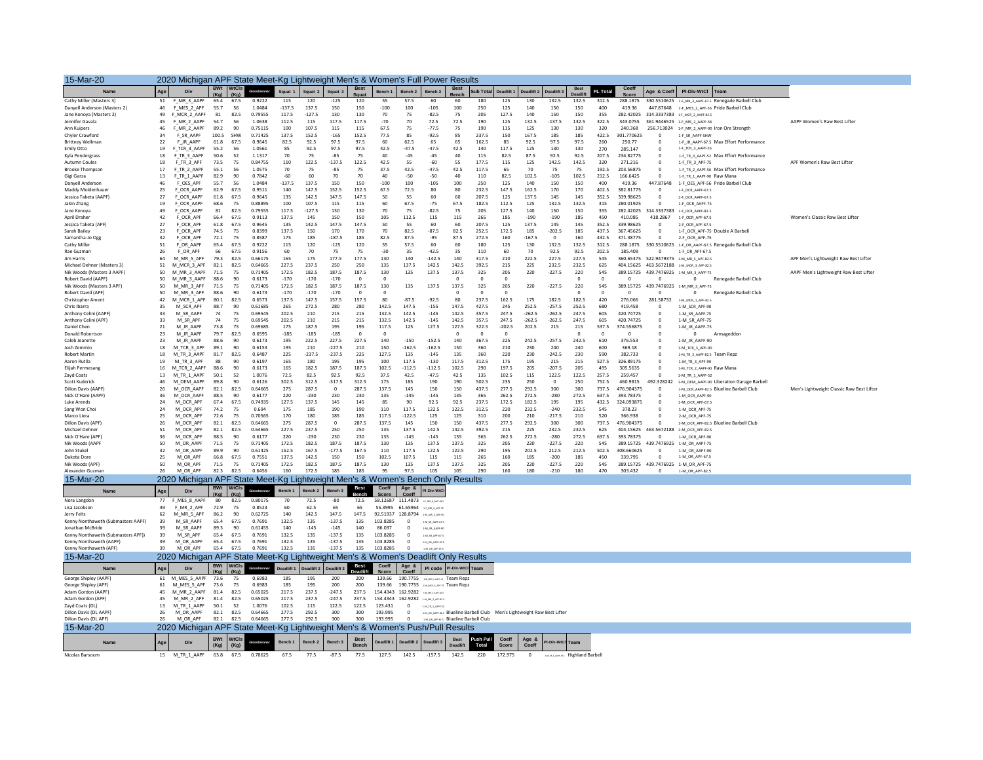| 15-Mar-20                                                     | 2020 Michigan APF State Meet-Kg Lightweight Men's & Women's Full Power Results |                                                                                   |                    |                                   |                    |                   |                    |                            |                         |                      |                                    |                                     |                                                                                             |                                                                          |                     |                       |                         |                                  |                     |                              |                              |                                                                                      |                                           |
|---------------------------------------------------------------|--------------------------------------------------------------------------------|-----------------------------------------------------------------------------------|--------------------|-----------------------------------|--------------------|-------------------|--------------------|----------------------------|-------------------------|----------------------|------------------------------------|-------------------------------------|---------------------------------------------------------------------------------------------|--------------------------------------------------------------------------|---------------------|-----------------------|-------------------------|----------------------------------|---------------------|------------------------------|------------------------------|--------------------------------------------------------------------------------------|-------------------------------------------|
| Name                                                          | Age                                                                            | Div                                                                               |                    | <b>BWt</b> WtCls<br>$(Ka)$ $(Ka)$ | Glosshrenner       | Squat 1           | Squat 2            | Squat 3                    | <b>Best</b>             | <b>Bench 1</b>       | Bench <sub>2</sub>                 | Bench 3                             | <b>Best</b>                                                                                 | Sub Total Deadlift 1                                                     |                     | Deadlift 2 Deadlift 3 |                         | <b>Best</b>                      | PL Total            | Coeff                        | Age & Coeff                  | PI-Div-WtCl Team                                                                     |                                           |
| Cathy Miller (Masters 3)                                      | 51                                                                             | F MR 3 AAPF                                                                       | 65.4               | 67.5                              | 0.9222             | 115               | 120                | $-125$                     | 120                     | 55                   | 57.5                               | 60                                  | 60                                                                                          | 180                                                                      | 125                 | 130                   | 132.5                   | 132.5                            | 312.5               | 288.1875                     |                              | 330.5510625 1-F_MR_3_AAPF-67.5 Renegade Barbell Club                                 |                                           |
| Danyell Anderson (Masters 2)<br>Jane Konova (Masters 2)       | 46<br>49                                                                       | F_MES_2_APF<br>F MCR 2 AAPF                                                       | 55.7<br>81         | 56<br>82.5                        | 1.0484<br>0.79555  | $-137.5$<br>117.5 | 137.5<br>$-127.5$  | 150<br>130                 | 150<br>130              | $-100$<br>70         | 100<br>75                          | $-105$<br>$-82.5$                   | 100<br>75                                                                                   | 250<br>205                                                               | 125<br>127.5        | 140<br>140            | 150<br>150              | 150<br>150                       | 400<br>355          | 419.36<br>282,42025          |                              | 447.87648 1-F_MES_2_APF-56 Pride Barbell Club<br>314.3337383 1-F MCR 2 AAPF-82.5     |                                           |
| Jennifer Gavala                                               | 45                                                                             | F MR 2 AAPF                                                                       | 54.7               | 56                                | 1.0638             | 112.5             | 115                | 117.5                      | 117.5                   | $-70$                | 70                                 | 72.5                                | 72.5                                                                                        | 190                                                                      | 125                 | 132.5                 | $-137.5$                | 132.5                            | 322.5               | 343.0755                     |                              | 361.9446525 1-F_MR_2_AAPF-56                                                         | AAPF Women's Raw Best Lifter              |
| Ann Kuipers                                                   | 46                                                                             | F MR 2 AAPF                                                                       | 89.2               | 90                                | 0.75115            | 100               | 107.5              | 115                        | 115                     | 67.5                 | 75                                 | $-77.5$                             | 75                                                                                          | 190                                                                      | 115                 | 125                   | 130                     | 130                              | 320                 | 240.368                      | 256.713024                   | 1-F MR 2 AAPF-90 Iron Ore Strength                                                   |                                           |
| Chyler Crawford                                               | 34<br>22                                                                       | F SR AAPF                                                                         | 100.5              | SHW                               | 0.71425            | 137.5             | 152.5              | $-165$                     | 152.5                   | 77.5                 | 85                                 | $-92.5$                             | 85                                                                                          | 237.5                                                                    | 150                 | 167.5                 | 185                     | 185                              | 422.5               | 301.770625                   | $\overline{0}$               | 1-F SR AAPF-SHW                                                                      |                                           |
| <b>Brittney Wellman</b><br><b>Emily Otto</b>                  | 19                                                                             | F JR AAPF<br>F TCR 3 AAPF                                                         | 61.8<br>55.2       | 67.5<br>56                        | 0.9645<br>1.0561   | 82.5<br>85        | 92.5<br>92.5       | 97.5<br>97.5               | 97.5<br>97.5            | 60<br>42.5           | 62.5<br>$-47.5$                    | 65<br>$-47.5$                       | 65<br>42.5                                                                                  | 162.5<br>140                                                             | 85<br>117.5         | 92.5<br>125           | 97.5<br>130             | 97.5<br>130                      | 260<br>270          | 250.77<br>285.147            | $\Omega$<br>$\overline{0}$   | 1-F JR AAPF-67.5 Max Effort Performance<br>1-F_TCR_3_AAPF-56                         |                                           |
| Kyla Pendergrass                                              | 18                                                                             | F TR 3 AAPF                                                                       | 50.6               | 52                                | 1.1317             | 70                | 75                 | $-85$                      | 75                      | 40                   | $-45$                              | $-45$                               | 40                                                                                          | 115                                                                      | 82.5                | 87.5                  | 92.5                    | 92.5                             | 207.5               | 234.82775                    | $\overline{0}$               | 1-F_TR_3_AAPF-52 Max Effort Performance                                              |                                           |
| Autumn Coules                                                 | 18                                                                             | F_TR_3_APF                                                                        | 73.5               | 75                                | 0.84755            | 110               | 122.5              | $-137.5$                   | 122.5                   | 42.5                 | 55                                 | $-60$                               | 55                                                                                          | 177.5                                                                    | 115                 | 125                   | 142.5                   | 142.5                            | 320                 | 271.216                      | $\overline{0}$               | 1-F_TR_3_APF-75                                                                      | APF Women's Raw Best Lifter               |
| <b>Brooke Thompson</b><br>Gigi Garza                          | 17<br>13                                                                       | F_TR_2_AAPF<br>F TR 1 AAPF                                                        | 55.1<br>82.9       | 56<br>90                          | 1.0575<br>0.7842   | 70<br>$-60$       | 75<br>60           | $-85$<br>70                | 75<br>70                | 37.5<br>40           | 42.5<br>$-50$                      | $-47.5$<br>$-50$                    | 42.5<br>40                                                                                  | 117.5<br>110                                                             | 65<br>82.5          | 70<br>102.5           | 75<br>$-105$            | 75<br>102.5                      | 192.5<br>212.5      | 203.56875<br>166.6425        | $\Omega$<br>$\Omega$         | 1-F_TR_2_AAPF-56 Max Effort Performance<br>1-F TR 1 AAPF-90 Raw Mana                 |                                           |
| Danyell Anderson                                              | 46                                                                             | F OES APF                                                                         | 55.7               | 56                                | 1.0484             | $-137.5$          | 137.5              | 150                        | 150                     | $-100$               | 100                                | $-105$                              | 100                                                                                         | 250                                                                      | 125                 | 140                   | 150                     | 150                              | 400                 | 419.36                       | 447.87648                    | 1-F OES APF-56 Pride Barbell Club                                                    |                                           |
| Maddy Moldenhauer                                             | 25                                                                             | F OCR AAPF                                                                        | 62.9               | 67.5                              | 0.9511             | 140               | 147.5              | 152.5                      | 152.5                   | 67.5                 | 72.5                               | 80                                  | 80                                                                                          | 232.5                                                                    | 147.5               | 162.5                 | 170                     | 170                              | 402.5               | 382.81775                    | $\Omega$                     | 1-F OCR AAPF-67.5                                                                    |                                           |
| Jessica Taketa (AAPF)                                         | 27<br>19                                                                       | F_OCR_AAPF<br>F OCR AAPF                                                          | 61.8<br>68.6       | 67.5<br>75                        | 0.9645<br>0.88895  | 135<br>100        | 142.5<br>107.5     | 147.5<br>115               | 147.5                   | 50                   | 55<br>67.5                         | 60<br>$-75$                         | 60<br>67.5                                                                                  | 207.5<br>182.5                                                           | 125<br>112.5        | 137.5<br>125          | 145<br>132.5            | 145<br>132.5                     | 352.5<br>315        | 339.98625<br>280.01925       | $\overline{0}$<br>$\Omega$   | 2-F OCR AAPF-67.5                                                                    |                                           |
| Jakin Zhang<br>Jane Konoya                                    | 49                                                                             | F OCR AAPF                                                                        | 81                 | 82.5                              | 0.79555            | 117.5             | $-127.5$           | 130                        | 115<br>130              | 60<br>70             | 75                                 | $-82.5$                             | 75                                                                                          | 205                                                                      | 127.5               | 140                   | 150                     | 150                              | 355                 | 282.42025                    | 314.3337383                  | 1-F OCR AAPF-75<br>1-F OCR AAPF-82.5                                                 |                                           |
| April Draher                                                  | 42                                                                             | F OCR APF                                                                         | 66.4               | 67.5                              | 0.9113             | 137.5             | 145                | 150                        | 150                     | 105                  | 112.5                              | 115                                 | 115                                                                                         | 265                                                                      | 185                 | $-190$                | $-190$                  | 185                              | 450                 | 410.085                      | 418,2867                     | 1-F OCR APF-67.5                                                                     | Women's Classic Raw Best Lifter           |
| Jessica Taketa (APF)                                          | $27\,$                                                                         | F OCR APF                                                                         | 61.8               | 67.5                              | 0.9645             | 135               | 142.5              | 147.5                      | 147.5                   | 50                   | 55                                 | 60                                  | 60                                                                                          | 207.5                                                                    | 125                 | 137.5                 | 145                     | 145                              | 352.5               | 339.98625                    | $\mathbf 0$                  | 2-F OCR APF-67.5                                                                     |                                           |
| Sarah Bailey<br>Samantha-Jo Ogg                               | 23<br>32                                                                       | F OCR APF<br>F_OCR_APF                                                            | 74.5<br>72.1       | 75<br>75                          | 0.8399<br>0.8587   | 137.5<br>175      | 150<br>185         | 170<br>$-187.5$            | 170<br>185              | 70<br>82.5           | 82.5<br>87.5                       | $-87.5$<br>$-95$                    | 82.5<br>87.5                                                                                | 252.5<br>272.5                                                           | 172.5<br>160        | 185<br>$-167.5$       | $-202.5$<br>$\mathbf 0$ | 185<br>160                       | 437.5<br>432.5      | 367.45625<br>371.38775       | $\Omega$                     | 1-F OCR APF-75 Double A Barbell<br>2-F OCR APF-75                                    |                                           |
| Cathy Miller                                                  | 51                                                                             | F OR AAPE                                                                         | 65.4               | 67.5                              | 0.9222             | 115               | 120                | $-125$                     | 120                     | 55                   | 57.5                               | 60                                  | 60                                                                                          | 180                                                                      | 125                 | 130                   | 132.5                   | 132.5                            | 312.5               | 288.1875                     |                              | 330.5510625 1-F OR AAPF-67.5 Renegade Barbell Club                                   |                                           |
| Rae Guzman                                                    | 26                                                                             | F OR APF                                                                          | 66                 | 67.5                              | 0.9156             | 60                | 70                 | 75                         | 75                      | $-30$                | 35                                 | $-42.5$                             | 35                                                                                          | 110                                                                      | 60                  | 70                    | 92.5                    | 92.5                             | 202.5               | 185,409                      | $\overline{0}$               | 1-F_OR_APF-67.5                                                                      |                                           |
| Jim Harris<br>Michael Dehner (Masters 3)                      | 64<br>51                                                                       | M MR 5 APF<br>M MCR 3 APR                                                         | 79.3<br>82.1       | 82.5<br>82.5                      | 0.66175<br>0.64665 | 165<br>227.5      | 175<br>237.5       | 177.5<br>250               | 177.5<br>250            | 130<br>135           | 140<br>137.5                       | $-142.5$<br>142.5                   | 140<br>142.5                                                                                | 317.5<br>392.5                                                           | 210<br>215          | 222.5<br>225          | 227.5<br>232.5          | 227.5<br>232.5                   | 545<br>625          | 360.65375<br>404.15625       |                              | 522.9479375 1-M MR 5 APF-82.5<br>463.5672188 1-M MCR 3 APF-82-5                      | APF Men's Lightweight Raw Best Lifter     |
| Nik Woods (Masters 3 AAPF)                                    | 50                                                                             | M MR 3 AAPF                                                                       | 71.5               | 75                                | 0.71405            | 172.5             | 182.5              | 187.5                      | 187.5                   | 130                  | 135                                | 137.5                               | 137.5                                                                                       | 325                                                                      | 205                 | 220                   | $-227.5$                | 220                              | 545                 |                              |                              | 389.15725 439.7476925 1-M MR 3 AAPF-75                                               | AAPF Men's Lightweight Raw Best Lifter    |
| Robert David (AAPF)                                           | 50                                                                             | M_MR_3_AAPF                                                                       | 88.6               | 90                                | 0.6173             | $-170$            | $-170$             | $-170$                     | $^{\circ}$              | $^{\circ}$           |                                    |                                     | $\circ$                                                                                     | $\circ$                                                                  | $\circ$             |                       |                         | $\mathbf 0$                      | $\circ$             | $\circ$                      | $\circ$                      | $\mathbf{0}$<br>Renegade Barbell Club                                                |                                           |
| Nik Woods (Masters 3 APF                                      | 50                                                                             | M MR 3 APF                                                                        | 71.5               | 75                                | 0.71405            | 172.5             | 182.5              | 187.5                      | 187.5                   | 130                  | 135                                | 137.5                               | 137.5                                                                                       | 325                                                                      | 205                 | 220                   | $-227.5$                | 220                              | 545                 |                              |                              | 389.15725 439.7476925 1-M_MR_3_APF-75                                                |                                           |
| Robert David (APF)<br>Christopher Ament                       | 50<br>42                                                                       | M MR 3 APF<br>M MCR 1 APF                                                         | 88.6<br>$80.1\,$   | 90<br>82.5                        | 0.6173<br>0.6573   | $-170$<br>137.5   | $-170$<br>147.5    | $-170$<br>157.5            | $\overline{0}$<br>157.5 | $\circ$<br>80        | $-87.5$                            | $-92.5$                             | $\mathbf 0$<br>80                                                                           | $\overline{0}$<br>237.5                                                  | $\circ$<br>162.5    | 175                   | 182.5                   | $\mathbf 0$<br>182.5             | $\circ$<br>420      | $\overline{0}$<br>276.066    | $\overline{0}$<br>281.58732  | $\mathbf{0}$<br>Renegade Barbell Club<br>$1-M\_MCR\_1\_APF-82.5$                     |                                           |
| Chris Ibarra                                                  | 35                                                                             | M SCR APF                                                                         | 88.7               | 90                                | 0.61685            | 265               | 272.5              | 280                        | 280                     | 142.5                | 147.5                              | $-155$                              | 147.5                                                                                       | 427.5                                                                    | 245                 | 252.5                 | $-257.5$                | 252.5                            | 680                 | 419.458                      | $^{\circ}$                   | 1-M SCR APF-90                                                                       |                                           |
| Anthony Celini (AAPF                                          | 33                                                                             | M SR AAPF                                                                         | 74                 | 75                                | 0.69545            | 202.5             | 210                | 215                        | 215                     | 132.5                | 142.5                              | $-145$                              | 142.5                                                                                       | 357.5                                                                    | 247.5               | $-262.5$              | $-262.5$                | 247.5                            | 605                 | 420.74725                    | $\overline{0}$               | 1-M SR AAPF-75                                                                       |                                           |
| Anthony Celini (APF)                                          | 33                                                                             | M SR APF                                                                          | 74                 | 75                                | 0.69545<br>0.69685 | 202.5             | 210                | 215                        | 215                     | 132.5                | 142.5                              | $-145$                              | 142.5                                                                                       | 357.5                                                                    | 247.5               | $-262.5$              | $-262.5$                | 247.5                            | 605                 | 420.74725                    | $\,$ 0 $\,$                  | 1-M SR APF-75                                                                        |                                           |
| Daniel Chen<br>Donald Robertson                               | 21<br>23                                                                       | M_JR_AAPF<br>M_JR_AAPF                                                            | 73.8<br>79.7       | 75<br>82.5                        | 0.6595             | 175<br>$-185$     | 187.5<br>$-185$    | 195<br>$-185$              | 195<br>$^{\circ}$       | 117.5<br>$^{\circ}$  | 125                                | 127.5                               | 127.5<br>$\circ$                                                                            | 322.5<br>$^{\circ}$                                                      | $-202.5$<br>$\circ$ | 202.5                 | 215                     | 215<br>$\circ$                   | 537.5<br>$^{\circ}$ | 374.556875<br>$\overline{0}$ | $\mathbf 0$<br>$^{\circ}$    | 1-M JR AAPF-75<br>$\mathbf{0}$<br>Armageddon                                         |                                           |
| Caleb Jeanette                                                | 23                                                                             | M_JR_AAPF                                                                         | 88.6               | 90                                | 0.6173             | 195               | 222.5              | 227.5                      | 227.5                   | 140                  | $-150$                             | $-152.5$                            | 140                                                                                         | 367.5                                                                    | 225                 | 242.5                 | $-257.5$                | 242.5                            | 610                 | 376.553                      | $\Omega$                     | 1-M_JR_AAPF-90                                                                       |                                           |
| Josh Zemmin                                                   | 18                                                                             | M TCR 3 APF                                                                       | 89.1               | 90                                | 0.6153             | 195               | 210                | $-227.5$                   | 210                     | 150                  | $-162.5$                           | $-162.5$                            | 150                                                                                         | 360                                                                      | 210                 | 230                   | 240                     | 240                              | 600                 | 369.18                       | $\overline{0}$               | 1-M TCR 3 APF-90                                                                     |                                           |
| <b>Robert Martin</b><br>Aaron Rutila                          | $18\,$<br>19                                                                   | M_TR_3_AAPF<br>M TR 3 APF                                                         | 81.7<br>88         | 82.5<br>90                        | 0.6487<br>0.6197   | 225<br>165        | $-237.5$<br>180    | $-237.5$<br>195            | 225<br>195              | 127.5<br>100         | 135<br>117.5                       | $-145$<br>$-130$                    | 135<br>117.5                                                                                | 360<br>312.5                                                             | 220<br>175          | 230<br>195            | $-242.5$<br>215         | 230<br>215                       | 590<br>527.5        | 382.733<br>326.89175         | $\,$ 0<br>$\Omega$           | 1-M TR 3 AAPF-82.5 Team Rep:<br>1-M TR 3 APF-90                                      |                                           |
| Elijah Permesang                                              | 16                                                                             | M_TCR_2_AAPF                                                                      | 88.6               | 90                                | 0.6173             | 165               | 182.5              | 187.5                      | 187.5                   | 102.5                | $-112.5$                           | $-112.5$                            | 102.5                                                                                       | 290                                                                      | 197.5               | 205                   | $-207.5$                | 205                              | 495                 | 305.5635                     | $\overline{0}$               | 1-M TCR 2 AAPF-90 Raw Mana                                                           |                                           |
| Zavd Coats                                                    | 13                                                                             | M TR 1 AAPF                                                                       | 50.1               | 52                                | 1.0076             | 72.5              | 82.5               | 92.5                       | 92.5                    | 37.5                 | 42.5                               | $-47.5$                             | 42.5                                                                                        | 135                                                                      | 102.5               | 115                   | 122.5                   | 122.5                            | 257.5               | 259.457                      | $\sqrt{2}$                   | 1-M TR 1 AAPF-52                                                                     |                                           |
| Scott Kuderick<br>Dillon Davis (AAPF)                         | 46<br>26                                                                       | M OEM AAPF<br>M OCR AAPF                                                          | 89.8<br>82.1       | 90<br>82.5                        | 0.6126<br>0.64665  | 302.5<br>275      | 312.5<br>287.5     | $-317.5$<br>$\overline{0}$ | 312.5<br>287.5          | 175<br>137.5         | 185<br>145                         | 190<br>150                          | 190<br>150                                                                                  | 502.5<br>437.5                                                           | 235<br>277.5        | 250<br>292.5          | $\circ$<br>300          | 250<br>300                       | 752.5<br>737.5      | 460.9815<br>476.904375       | 492.328242<br>$\overline{0}$ | 1-M_OEM_AAPF-90 Liberation Garage Barbell<br>1-M OCR AAPF-82.5 Blueline Barbell Club | Men's Lightweight Classic Raw Best Lifter |
| Nick O'Hare (AAPF)                                            | 36                                                                             | M OCR AAPF                                                                        | 88.5               | 90                                | 0.6177             | 220               | $-230$             | 230                        | 230                     | 135                  | $-145$                             | $-145$                              | 135                                                                                         | 365                                                                      | 262.5               | 272.5                 | $-280$                  | 272.5                            | 637.5               | 393.78375                    |                              | 1-M OCR AAPF-90                                                                      |                                           |
| Luke Arends                                                   | 24                                                                             | M OCR APE                                                                         | 67.4               | 67.5                              | 0.74935            | 127.5             | 137.5              | 145                        | 145                     | 85                   | 90                                 | 92.5                                | 92.5                                                                                        | 237.5                                                                    | 172.5               | 182.5                 | 195                     | 195                              | 432.5               | 324.093875                   | $\Omega$                     | 1-M OCR APF-67.5                                                                     |                                           |
| Sang Won Cho<br>Marco Liera                                   | ${\bf 24}$                                                                     | M OCR APP<br>M OCR APE                                                            | 74.2<br>72.6       | 75                                | 0.694<br>0.70565   | 175<br>170        | 185<br>180         | 190<br>185                 | 190<br>185              | 110<br>117.5         | 117.5<br>$-122.5$                  | 122.5<br>125                        | 122.5<br>125                                                                                | 312.5<br>310                                                             | 220<br>200          | 232.5<br>210          | $-240$<br>$-217.5$      | 232.5<br>210                     | 545<br>520          | 378.23<br>366.938            | $\,$ 0<br>$\Omega$           | 1-M OCR APF-75                                                                       |                                           |
| Dillon Davis (APF)                                            | 25<br>26                                                                       | M OCR APF                                                                         | 82.1               | 75<br>82.5                        | 0.64665            | 275               | 287.5              | $\mathbf 0$                | 287.5                   | 137.5                | 145                                | 150                                 | 150                                                                                         | 437.5                                                                    | 277.5               | 292.5                 | 300                     | 300                              | 737.5               | 476.904375                   | $\overline{0}$               | 2-M OCR APF-75<br>1-M_OCR_APF-82.5 Blueline Barbell Club                             |                                           |
| Michael Dehner                                                | 51                                                                             | M OCR APF                                                                         | 82.1               | 82.5                              | 0.64665            | 227.5             | 237.5              | 250                        | 250                     | 135                  | 137.5                              | 142.5                               | 142.5                                                                                       | 392.5                                                                    | 215                 | 225                   | 232.5                   | 232.5                            | 625                 | 404.15625                    | 463.5672188                  | 2-M_OCR_APF-82.5                                                                     |                                           |
| Nick O'Hare (APF)                                             | 36                                                                             | M OCR APF                                                                         | 88.5               | 90                                | 0.6177             | 220               | $-230$             | 230                        | 230                     | 135                  | $-145$                             | $-145$                              | 135                                                                                         | 365                                                                      | 262.5               | 272.5                 | $-280$                  | 272.5                            | 637.5               | 393.78375                    | $\overline{0}$               | 1-M OCR APF-90                                                                       |                                           |
| Nik Woods (AAPF<br>John Stukel                                | 50<br>32                                                                       | M OR AAPF<br>M_OR_AAPF                                                            | 71.5<br>89.9       | 75<br>90                          | 0.71405<br>0.61425 | 172.5<br>152.5    | 182.5<br>167.5     | 187.5<br>$-177.5$          | 187.5<br>167.5          | 130<br>110           | 135<br>117.5                       | 137.5<br>122.5                      | 137.5<br>122.5                                                                              | 325<br>290                                                               | 205<br>195          | 220<br>202.5          | $-227.5$<br>212.5       | 220<br>212.5                     | 545<br>502.5        | 389.15725<br>308.660625      | 439.7476925                  | 1-M OR AAPF-75<br>1-M OR AAPF-90                                                     |                                           |
| Dakota Dore                                                   | 25                                                                             | M OR APF                                                                          | 66.8               | 67.5                              | 0.7551             | 137.5             | 142.5              | 150                        | 150                     | 102.5                | 107.5                              | 115                                 | 115                                                                                         | 265                                                                      | 160                 | 185                   | $-200$                  | 185                              | 450                 | 339,795                      | $\Omega$                     | 1-M OR APF-67.5                                                                      |                                           |
| Nik Woods (APF)                                               | 50                                                                             | M_OR_APF                                                                          | 71.5               | 75                                | 0.71405            | 172.5             | 182.5              | 187.5                      | 187.5                   | 130                  | 135                                | 137.5                               | 137.5                                                                                       | 325                                                                      | 205                 | 220                   | $-227.5$                | 220                              | 545                 | 389.15725                    |                              | 439.7476925 1-M_OR_APF-75                                                            |                                           |
| Alexander Guzmar                                              | 26                                                                             | M OR APF                                                                          | 82.3               | 82.5                              | 0.6456             | 160               | 172.5              | 185                        | 185                     | 95                   | 97.5                               | 105                                 | 105                                                                                         | 290                                                                      | 160                 | 180                   | $-210$                  | 180                              | 470                 | 303.432                      | $\overline{0}$               | 1-M OR APF-82.5                                                                      |                                           |
| 15-Mar-20                                                     |                                                                                | 2020 Michigan APF State Meet-Kg Lightweight Men's & Women's Bench Only Results    |                    | <b>BWt</b> WtCls                  |                    |                   |                    |                            | <b>Best</b>             | Coeff                | Age $a$                            |                                     |                                                                                             |                                                                          |                     |                       |                         |                                  |                     |                              |                              |                                                                                      |                                           |
| Name                                                          | Age                                                                            |                                                                                   | (Ka)               | (Ka)                              |                    |                   | Bench <sub>2</sub> | Bench <sub>3</sub>         |                         | Score                | Cooff                              | PI-Div-Wt                           |                                                                                             |                                                                          |                     |                       |                         |                                  |                     |                              |                              |                                                                                      |                                           |
| Nora Langdon<br>Lisa Jacobson                                 | 77<br>49                                                                       | F MES 8 AAPF<br>F_MR_2_APF                                                        | 80<br>72.9         | 82.5<br>75                        | 0.80175<br>0.8523  | 70<br>60          | 72.5<br>62.5       | $-80$<br>65                | 72.5<br>65              |                      | 55.3995 61.65964 14 MR 2 MP-76     |                                     |                                                                                             |                                                                          |                     |                       |                         |                                  |                     |                              |                              |                                                                                      |                                           |
| Jerry Felts                                                   | 62                                                                             | M MR 5 APF                                                                        | 86.2               | 90                                | 0.62725            | 140               | 142.5              | 147.5                      | 147.5                   | 92.51937             | 128,8794                           | 1-M MR S APPAC                      |                                                                                             |                                                                          |                     |                       |                         |                                  |                     |                              |                              |                                                                                      |                                           |
| Kenny Nonthaweth (Submasters AAPF)                            | 39                                                                             | M SR AAPF                                                                         | 65.4               | 67.5                              | 0.7691             | 132.5             | 135                | $-137.5$                   | 135                     | 103.8285             | $\Omega$                           | 1-M SR ANR-67.9                     |                                                                                             |                                                                          |                     |                       |                         |                                  |                     |                              |                              |                                                                                      |                                           |
| Jonathan McBride                                              | 39                                                                             | M SR AAPF                                                                         | 89.3               | 90                                | 0.61455            | 140               | $-145$             | $-145$                     | 140                     | 86.037               |                                    | 1-M_SR_AAPP-90                      |                                                                                             |                                                                          |                     |                       |                         |                                  |                     |                              |                              |                                                                                      |                                           |
| Kenny Nonthaweth (Submasters APF))<br>Kenny Nonthaweth (AAPF) | 39<br>39                                                                       | M SR APF<br>M OR AAPF                                                             | 65.4<br>65.4       | 67.5<br>67.5                      | 0.7691<br>0.7691   | 132.5<br>132.5    | 135<br>135         | $-137.5$<br>$-137.5$       | 135<br>135              | 103.8285<br>103.8285 | $\Omega$<br>$\circ$                | 1-M_SR_APF-67.5<br>1-M_08_AARF-67.5 |                                                                                             |                                                                          |                     |                       |                         |                                  |                     |                              |                              |                                                                                      |                                           |
| Kenny Nonthaweth (APF)                                        | 39                                                                             | M OR APE                                                                          | 65.4               | 67.5                              | 0.7691             | 132.5             | 135                | $-137.5$                   | 135                     | 103.8285             | $\sqrt{2}$                         |                                     |                                                                                             |                                                                          |                     |                       |                         |                                  |                     |                              |                              |                                                                                      |                                           |
| 15-Mar-20                                                     |                                                                                | 2020 Michigan APF State Meet-Kg Lightweight Men's & Women's Deadlift Only Results |                    |                                   |                    |                   |                    |                            |                         |                      |                                    |                                     |                                                                                             |                                                                          |                     |                       |                         |                                  |                     |                              |                              |                                                                                      |                                           |
| Name                                                          | Age                                                                            |                                                                                   | <b>BWt</b><br>(Ka) | WtCls<br>(Ka)                     |                    |                   |                    |                            | <b>Best</b>             | Coeff<br>Score       | Age $a$<br>Coeff                   |                                     | PI code PI-Div-WtCl Team                                                                    |                                                                          |                     |                       |                         |                                  |                     |                              |                              |                                                                                      |                                           |
| George Shipley (AAPF)<br>George Shipley (APF)                 | 61                                                                             | 61 M_MES_5_AAPF 73.6<br>M MES 5 APF                                               | 73.6               | 75<br>75                          | 0.6983<br>0.6983   | 185<br>185        | 195<br>195         | 200<br>200                 | 200<br>200              |                      |                                    |                                     | 139.66 190.7755 <b>Expansioners</b> Team Repz<br>139.66 190.7755 1-M MKS 5 APE-75 Team Repz |                                                                          |                     |                       |                         |                                  |                     |                              |                              |                                                                                      |                                           |
| Adam Gordon (AAPF                                             | 45                                                                             | M MR 2 AAPF                                                                       | 81.4               | 82.5                              | 0.65025            | 217.5             | 237.5              | $-247.5$                   | 237.5                   |                      | 154.4343 162.9282 <b>PROVIDENT</b> |                                     |                                                                                             |                                                                          |                     |                       |                         |                                  |                     |                              |                              |                                                                                      |                                           |
| Adam Gordon (APF)                                             | 45                                                                             | M MR 2 APF                                                                        | 81.4               | 82.5                              | 0.65025            | 217.5             | 237.5              | $-247.5$                   | 237.5                   |                      | 154.4343 162.9282 [M] MR 2 APEAD   |                                     |                                                                                             |                                                                          |                     |                       |                         |                                  |                     |                              |                              |                                                                                      |                                           |
| Zayd Coats (DL)                                               | 13                                                                             | M TR 1 AAPF                                                                       | 50.1               | 52<br>82.5                        | 1.0076             | 102.5             | 115                | 122.5                      | 122.5                   | 123.431              | $\,0\,$                            | 1-M_TR_1_AARF-52                    |                                                                                             |                                                                          |                     |                       |                         |                                  |                     |                              |                              |                                                                                      |                                           |
| Dillon Davis (DI AAPF<br>Dillon Davis (DL APF)                | 26<br>26                                                                       | M OR AAPF<br>M OR APF                                                             | 82.1<br>82.1       | 82.5                              | 0.64665<br>0.64665 | 277.5<br>277.5    | 292.5<br>292.5     | 300<br>300                 | 300<br>300              | 193.995<br>193.995   | $\Omega$                           |                                     | Mon APER2.5 Blueline Barbell Club                                                           | 1-M OR AARE-R2.5 Blueline Barbell Club Men's Lightweight Raw Best Lifter |                     |                       |                         |                                  |                     |                              |                              |                                                                                      |                                           |
| 15-Mar-20                                                     |                                                                                | 2020 Michigan APF State Meet-Kg Lightweight Men's & Women's Push/Pull Results     |                    |                                   |                    |                   |                    |                            |                         |                      |                                    |                                     |                                                                                             |                                                                          |                     |                       |                         |                                  |                     |                              |                              |                                                                                      |                                           |
| Name                                                          |                                                                                |                                                                                   | <b>BWt</b>         | <b>WtCls</b>                      |                    |                   |                    |                            | <b>Best</b>             |                      |                                    |                                     | <b>Best</b>                                                                                 | <b>Push Pull</b>                                                         | Coeff               | Age &                 | PI-Div-WtCl Team        |                                  |                     |                              |                              |                                                                                      |                                           |
| Nicolas Barsoum                                               | Age                                                                            | 15 M_TR_1_AAPF                                                                    | (Kg)<br>63.8       | (Kg)<br>67.5                      | 0.78625            | 67.5              | 77.5               | $-87.5$                    | Bench<br>77.5           | 127.5                | 142.5                              | $-157.5$                            | <b>Deadlift</b><br>142.5                                                                    | Total<br>220                                                             | Score<br>172.975    | Coeff<br>$\circ$      |                         | <b>MCRUMMAN</b> Highland Barbell |                     |                              |                              |                                                                                      |                                           |